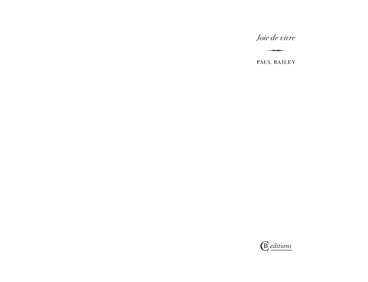*Joie de vivre*

∑

PAUL BAILEY

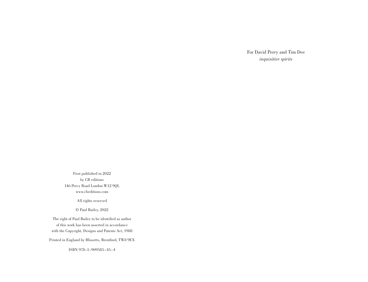For David Perry and Tim Dee *inquisitive spirits*

First published in 2022 by CB editions 146 Percy Road London W12 9QL www.cbeditions.com

All rights reserved

© Paul Bailey, 2022

The right of Paul Bailey to be identified as author of this work has been asserted in accordance with the Copyright, Designs and Patents Act, 1988

Printed in England by Blissetts, Brentford, TW8 9EX

ISBN 978–1–909585–45–4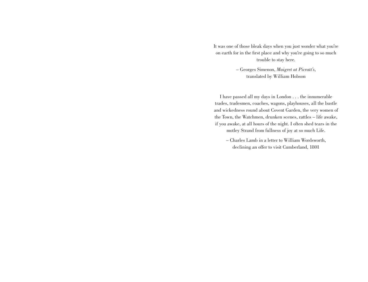It was one of those bleak days when you just wonder what you're on earth for in the first place and why you're going to so much trouble to stay here.

> – Georges Simenon, *Maigret at Picratt's*, translated by William Hobson

I have passed all my days in London . . . the innumerable trades, tradesmen, coaches, wagons, playhouses, all the bustle and wickedness round about Covent Garden, the very women of the Town, the Watchmen, drunken scenes, rattles – life awake, if you awake, at all hours of the night. I often shed tears in the motley Strand from fullness of joy at so much Life.

– Charles Lamb in a letter to William Wordsworth, declining an offer to visit Cumberland, 1801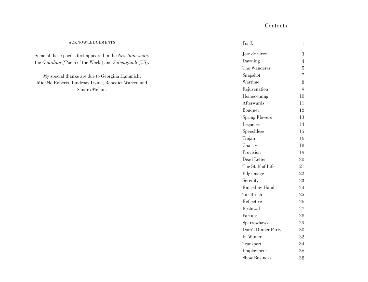#### acknowledgements

Some of these poems first appeared in the *New Statesman*, the *Guardian* ('Poem of the Week') and *Salmagundi* (US).

My special thanks are due to Georgina Hammick, Michèle Roberts, Lindesay Irvine, Benedict Warren and Sandro Melani.

| For J.                | 1                        |
|-----------------------|--------------------------|
| Joie de vivre         | 3                        |
| Dawning               | $\overline{4}$           |
| The Wanderer          | 5                        |
| Snapshot              | $\overline{\mathcal{L}}$ |
| Wartime               | 8                        |
| Rejuvenation          | 9                        |
| Homecoming            | 10                       |
| Afterwards            | 11                       |
| Bouquet               | 12                       |
| <b>Spring Flowers</b> | 13                       |
| Legacies              | 14                       |
| Speechless            | 15                       |
| Trojan                | 16                       |
| Charity               | 18                       |
| Provision             | 19                       |
| Dead Letter           | 20                       |
| The Staff of Life     | 21                       |
| Pilgrimage            | 22                       |
| Serenity              | 23                       |
| Raised by Hand        | 24                       |
| <b>Tar Brush</b>      | 25                       |
| Reflective            | 26                       |
| <b>Bestowal</b>       | 27                       |
| Parting               | 28                       |
| Sparrowhawk           | 29                       |
| Dora's Dinner Party   | 30                       |
| In Winter             | 32                       |
| Transport             | 34                       |
| Employment            | 36                       |
| Show Business         | 38                       |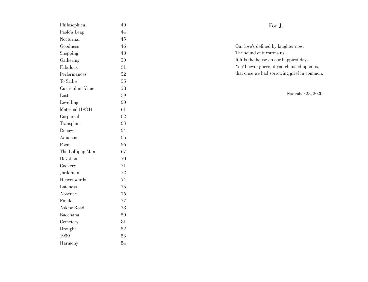| Philosophical     | 40  |
|-------------------|-----|
| Paolo's Leap      | 44  |
| Nocturnal         | 4.5 |
| Goodness          | 46  |
| Shopping          | 48  |
| Gathering         | 50  |
| Fabulous          | 51  |
| Performances      | 52  |
| To Sadie          | 55  |
| Curriculum Vitae  | 58  |
| Lost              | 59  |
| Levelling         | 60  |
| Maternal (1984)   | 61  |
| Corporeal         | 62  |
| Transplant        | 63  |
| Renown            | 64  |
| Aqueous           | 65  |
| Poem              | 66  |
| The Lollipop Man  | 67  |
| Devotion          | 70  |
| Cookery           | 71  |
| Jordanian         | 72  |
| Heavenwards       | 74  |
| Lateness          | 75  |
| Absence           | 76  |
| Finale            | 77  |
| <b>Askew Road</b> | 78  |
| Bacchanal         | 80  |
| Cemetery          | 81  |
| Drought           | 82  |
| 1939              | 83  |
|                   |     |

# For J.

Our love's defined by laughter now. The sound of it warms us. It fills the house on our happiest days. You'd never guess, if you chanced upon us, that once we had sorrowing grief in common.

November 28, 2020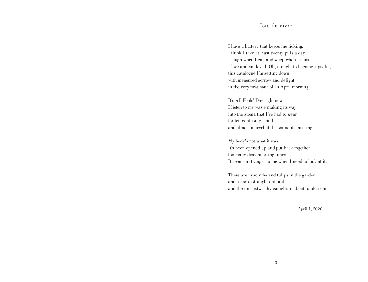# Joie de vivre

I have a battery that keeps me ticking. I think I take at least twenty pills a day. I laugh when I can and weep when I must. I love and am loved. Oh, it ought to become a psalm, this catalogue I'm setting down with measured sorrow and delight in the very first hour of an April morning.

It's All Fools' Day right now. I listen to my waste making its way into the stoma that I've had to wear for ten confusing months and almost marvel at the sound it's making.

My body's not what it was. It's been opened up and put back together too many discomforting times. It seems a stranger to me when I need to look at it.

There are hyacinths and tulips in the garden and a few distraught daffodils and the untrustworthy camellia's about to blossom.

April 1, 2020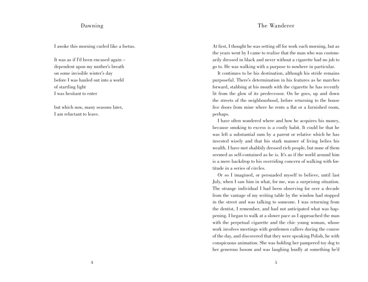# Dawning

I awoke this morning curled like a foetus.

It was as if I'd been encased again – dependent upon my mother's breath on some invisible winter's day before I was hauled out into a world of startling light I was hesitant to enter

but which now, many seasons later, I am reluctant to leave.

#### The Wanderer

At first, I thought he was setting off for work each morning, but as the years went by I came to realise that the man who was customarily dressed in black and never without a cigarette had no job to go to. He was walking with a purpose to nowhere in particular.

It continues to be his destination, although his stride remains purposeful. There's determination in his features as he marches forward, stabbing at his mouth with the cigarette he has recently lit from the glow of its predecessor. On he goes, up and down the streets of the neighbourhood, before returning to the house five doors from mine where he rents a flat or a furnished room, perhaps.

I have often wondered where and how he acquires his money, because smoking to excess is a costly habit. It could be that he was left a substantial sum by a parent or relative which he has invested wisely and that his stark manner of living belies his wealth. I have met shabbily dressed rich people, but none of them seemed as self-contained as he is. It's as if the world around him is a mere backdrop to his overriding concern of walking with fortitude in a series of circles.

Or so I imagined, or persuaded myself to believe, until last July, when I saw him in what, for me, was a surprising situation. The strange individual I had been observing for over a decade from the vantage of my writing table by the window had stopped in the street and was talking to someone. I was returning from the dentist, I remember, and had not anticipated what was happening. I began to walk at a slower pace as I approached the man with the perpetual cigarette and the chic young woman, whose work involves meetings with gentlemen callers during the course of the day, and discovered that they were speaking Polish, he with conspicuous animation. She was holding her pampered toy dog to her generous bosom and was laughing loudly at something he'd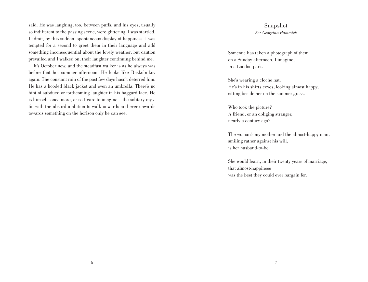said. He was laughing, too, between puffs, and his eyes, usually so indifferent to the passing scene, were glittering. I was startled, I admit, by this sudden, spontaneous display of happiness. I was tempted for a second to greet them in their language and add something inconsequential about the lovely weather, but caution prevailed and I walked on, their laughter continuing behind me.

It's October now, and the steadfast walker is as he always was before that hot summer afternoon. He looks like Raskolnikov again. The constant rain of the past few days hasn't deterred him. He has a hooded black jacket and even an umbrella. There's no hint of subdued or forthcoming laughter in his haggard face. He is himself once more, or so I care to imagine – the solitary mystic with the absurd ambition to walk onwards and ever onwards towards something on the horizon only he can see.

# Snapshot *For Georgina Hammick*

Someone has taken a photograph of them on a Sunday afternoon, I imagine, in a London park.

She's wearing a cloche hat. He's in his shirtsleeves, looking almost happy, sitting beside her on the summer grass.

Who took the picture? A friend, or an obliging stranger, nearly a century ago?

The woman's my mother and the almost-happy man, smiling rather against his will, is her husband-to-be.

She would learn, in their twenty years of marriage, that almost-happiness was the best they could ever bargain for.